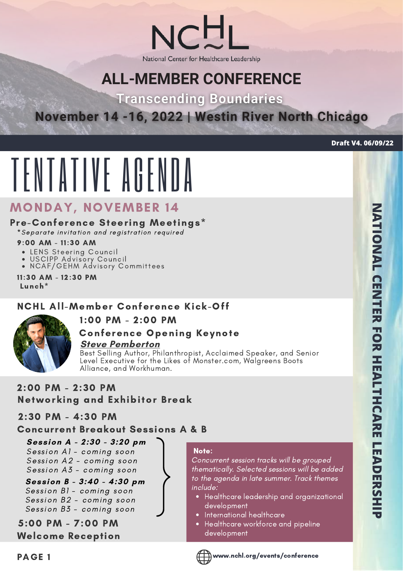National Center for Healthcare Leadership

# **ALL-MEMBER CONFERENCE**

**Transcending Boundaries** 

# November 14 -16, 2022 | Westin River North Chicago

**Draft V4. 06/09/22**

# TENTATIVE AGENDA

# MONDAY, NOVEMBER 14

## Pre-Conference Steering Meetings\*

\* Separate invitation and registration required

#### 9:00 AM - 11:30 AM

- LENS Steering Council
- USCIPP Advisory Council
- NCAF/GEHM Advisory Committees

11:30 AM - 12:30 PM Lunch\*

## NCHL All-Member Conference Kick-Off

## 1:00 PM - 2:00 PM



# Conference Opening Keynote

**Steve [Pemberton](https://www.stevepemberton.io/about)**

Best Selling Author, Philanthropist, Acclaimed Speaker, and Senior Level Executive for the Likes of Monster.com, Walgreens Boots Alliance, and Workhuman.

2:00 PM - 2:30 PM Networking and Exhibitor Break

## 2:30 PM - 4:30 PM

## Concurrent Breakout Sessions A & B

**Session A - 2:30 - 3:20 pm** Session A1 - coming soon Session A2 - coming soon Session  $A3$  - coming soon

#### **Session B - 3:40 - 4:30 pm** Session B1 - coming soon Session B2 - coming soon Session B3 - coming soon

5:00 PM - 7:00 PM Welcome Reception

### Note:

Concurrent session tracks will be grouped thematically. Selected sessions will be added to the agenda in late summer. Track themes include:

- Healthcare leadership and organizational development
- International healthcare
- Healthcare workforce and pipeline development